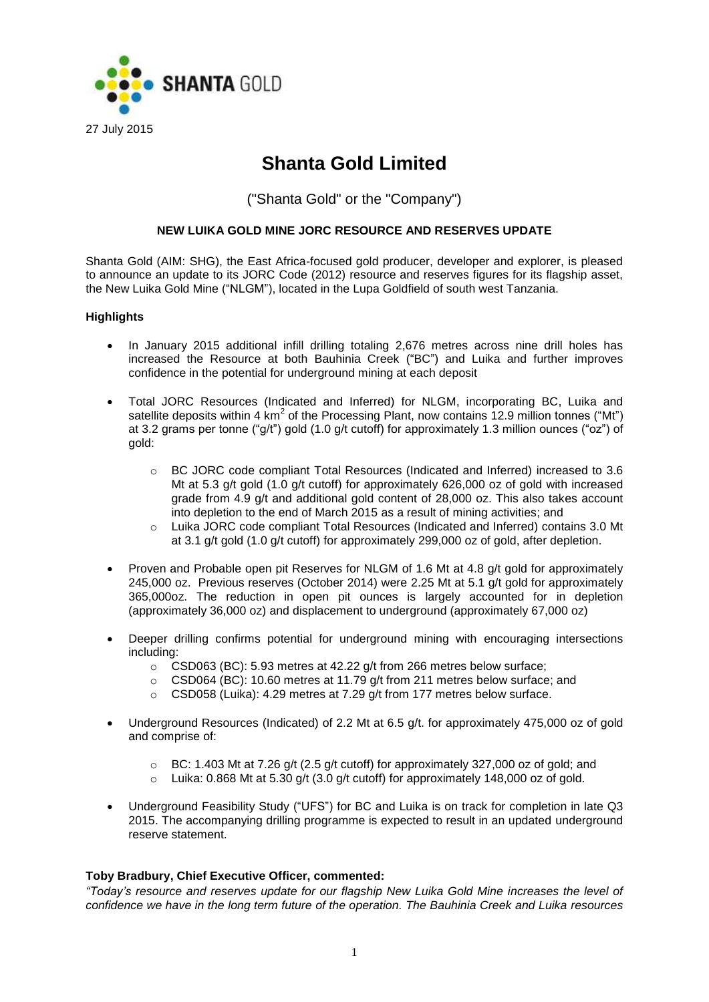

# **Shanta Gold Limited**

("Shanta Gold" or the "Company")

# **NEW LUIKA GOLD MINE JORC RESOURCE AND RESERVES UPDATE**

Shanta Gold (AIM: SHG), the East Africa-focused gold producer, developer and explorer, is pleased to announce an update to its JORC Code (2012) resource and reserves figures for its flagship asset, the New Luika Gold Mine ("NLGM"), located in the Lupa Goldfield of south west Tanzania.

# **Highlights**

- In January 2015 additional infill drilling totaling 2,676 metres across nine drill holes has increased the Resource at both Bauhinia Creek ("BC") and Luika and further improves confidence in the potential for underground mining at each deposit
- Total JORC Resources (Indicated and Inferred) for NLGM, incorporating BC, Luika and satellite deposits within 4  $km^2$  of the Processing Plant, now contains 12.9 million tonnes ("Mt") at 3.2 grams per tonne ("g/t") gold (1.0 g/t cutoff) for approximately 1.3 million ounces ("oz") of gold:
	- o BC JORC code compliant Total Resources (Indicated and Inferred) increased to 3.6 Mt at 5.3 g/t gold (1.0 g/t cutoff) for approximately 626,000 oz of gold with increased grade from 4.9 g/t and additional gold content of 28,000 oz. This also takes account into depletion to the end of March 2015 as a result of mining activities; and
	- o Luika JORC code compliant Total Resources (Indicated and Inferred) contains 3.0 Mt at 3.1 g/t gold (1.0 g/t cutoff) for approximately 299,000 oz of gold, after depletion.
- Proven and Probable open pit Reserves for NLGM of 1.6 Mt at 4.8 g/t gold for approximately 245,000 oz. Previous reserves (October 2014) were 2.25 Mt at 5.1 g/t gold for approximately 365,000oz. The reduction in open pit ounces is largely accounted for in depletion (approximately 36,000 oz) and displacement to underground (approximately 67,000 oz)
- Deeper drilling confirms potential for underground mining with encouraging intersections including:
	- o CSD063 (BC): 5.93 metres at 42.22 g/t from 266 metres below surface;
	- o CSD064 (BC): 10.60 metres at 11.79 g/t from 211 metres below surface; and
	- o CSD058 (Luika): 4.29 metres at 7.29 g/t from 177 metres below surface.
- Underground Resources (Indicated) of 2.2 Mt at 6.5 g/t. for approximately 475,000 oz of gold and comprise of:
	- $\circ$  BC: 1.403 Mt at 7.26 g/t (2.5 g/t cutoff) for approximately 327,000 oz of gold; and
	- $\circ$  Luika: 0.868 Mt at 5.30 g/t (3.0 g/t cutoff) for approximately 148,000 oz of gold.
- Underground Feasibility Study ("UFS") for BC and Luika is on track for completion in late Q3 2015. The accompanying drilling programme is expected to result in an updated underground reserve statement.

# **Toby Bradbury, Chief Executive Officer, commented:**

*"Today's resource and reserves update for our flagship New Luika Gold Mine increases the level of confidence we have in the long term future of the operation. The Bauhinia Creek and Luika resources*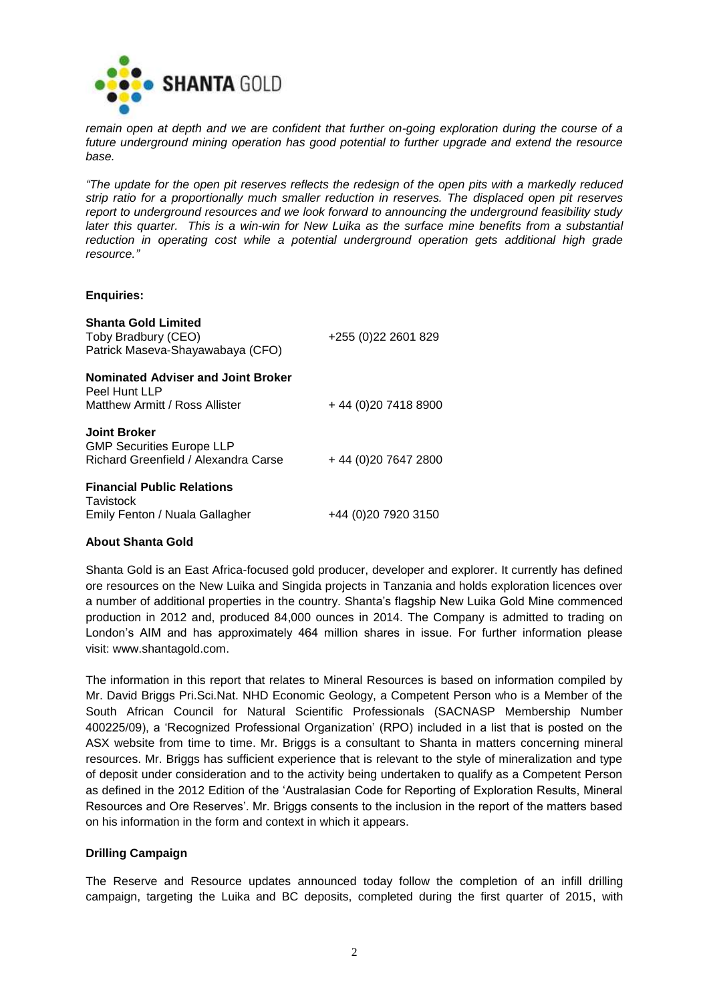

*remain open at depth and we are confident that further on-going exploration during the course of a future underground mining operation has good potential to further upgrade and extend the resource base.*

*"The update for the open pit reserves reflects the redesign of the open pits with a markedly reduced strip ratio for a proportionally much smaller reduction in reserves. The displaced open pit reserves report to underground resources and we look forward to announcing the underground feasibility study later this quarter. This is a win-win for New Luika as the surface mine benefits from a substantial reduction in operating cost while a potential underground operation gets additional high grade resource."*

## **Enquiries:**

| <b>Shanta Gold Limited</b><br>Toby Bradbury (CEO)<br>Patrick Maseva-Shayawabaya (CFO)           | +255 (0) 22 2601 829 |
|-------------------------------------------------------------------------------------------------|----------------------|
| Nominated Adviser and Joint Broker<br>Peel Hunt LLP<br>Matthew Armitt / Ross Allister           | +44 (0) 20 7418 8900 |
| <b>Joint Broker</b><br><b>GMP Securities Europe LLP</b><br>Richard Greenfield / Alexandra Carse | +44 (0) 20 7647 2800 |
| <b>Financial Public Relations</b><br>Tavistock<br>Emily Fenton / Nuala Gallagher                | +44 (0)20 7920 3150  |

# **About Shanta Gold**

Shanta Gold is an East Africa-focused gold producer, developer and explorer. It currently has defined ore resources on the New Luika and Singida projects in Tanzania and holds exploration licences over a number of additional properties in the country. Shanta's flagship New Luika Gold Mine commenced production in 2012 and, produced 84,000 ounces in 2014. The Company is admitted to trading on London's AIM and has approximately 464 million shares in issue. For further information please visit: [www.shantagold.com.](http://www.shantagold.com/)

The information in this report that relates to Mineral Resources is based on information compiled by Mr. David Briggs Pri.Sci.Nat. NHD Economic Geology, a Competent Person who is a Member of the South African Council for Natural Scientific Professionals (SACNASP Membership Number 400225/09), a 'Recognized Professional Organization' (RPO) included in a list that is posted on the ASX website from time to time. Mr. Briggs is a consultant to Shanta in matters concerning mineral resources. Mr. Briggs has sufficient experience that is relevant to the style of mineralization and type of deposit under consideration and to the activity being undertaken to qualify as a Competent Person as defined in the 2012 Edition of the 'Australasian Code for Reporting of Exploration Results, Mineral Resources and Ore Reserves'. Mr. Briggs consents to the inclusion in the report of the matters based on his information in the form and context in which it appears.

# **Drilling Campaign**

The Reserve and Resource updates announced today follow the completion of an infill drilling campaign, targeting the Luika and BC deposits, completed during the first quarter of 2015, with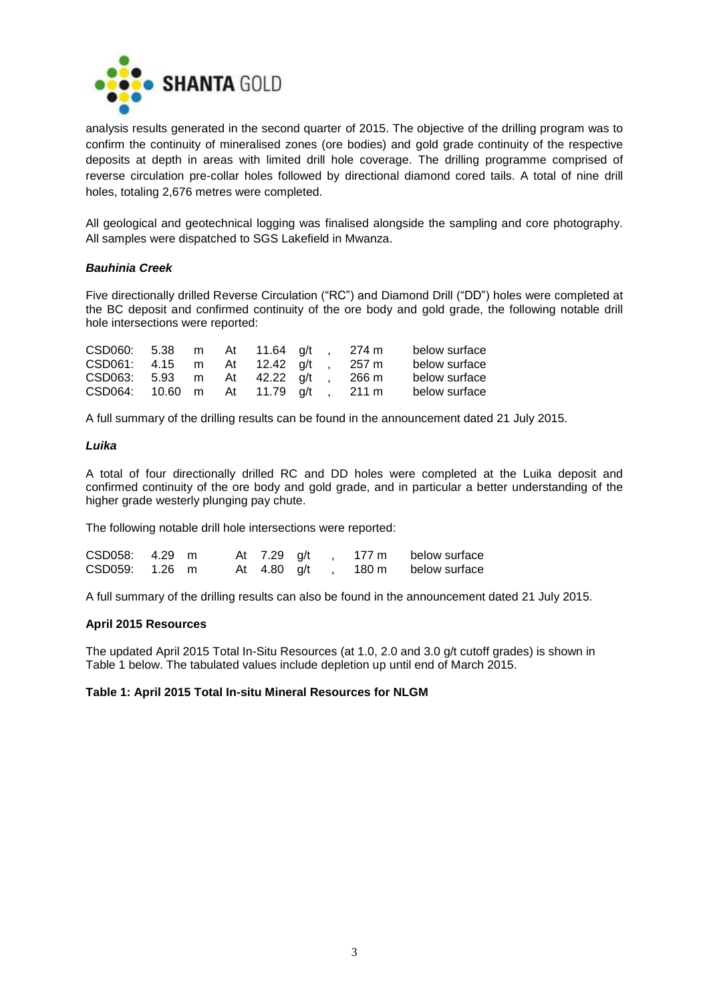

analysis results generated in the second quarter of 2015. The objective of the drilling program was to confirm the continuity of mineralised zones (ore bodies) and gold grade continuity of the respective deposits at depth in areas with limited drill hole coverage. The drilling programme comprised of reverse circulation pre-collar holes followed by directional diamond cored tails. A total of nine drill holes, totaling 2,676 metres were completed.

All geological and geotechnical logging was finalised alongside the sampling and core photography. All samples were dispatched to SGS Lakefield in Mwanza.

## *Bauhinia Creek*

Five directionally drilled Reverse Circulation ("RC") and Diamond Drill ("DD") holes were completed at the BC deposit and confirmed continuity of the ore body and gold grade, the following notable drill hole intersections were reported:

| CSD060: 5.38 m At 11.64 g/t  |  |  |  | 274 m | below surface |
|------------------------------|--|--|--|-------|---------------|
| CSD061: 4.15 m At 12.42 a/t  |  |  |  | 257 m | below surface |
| CSD063: 5.93 m At 42.22 a/t  |  |  |  | 266 m | below surface |
| CSD064: 10.60 m At 11.79 g/t |  |  |  | 211 m | below surface |

A full summary of the drilling results can be found in the announcement dated 21 July 2015.

## *Luika*

A total of four directionally drilled RC and DD holes were completed at the Luika deposit and confirmed continuity of the ore body and gold grade, and in particular a better understanding of the higher grade westerly plunging pay chute.

The following notable drill hole intersections were reported:

| CSD058: 4.29 m |  | At 7.29 g/t |  | 177 m | below surface |
|----------------|--|-------------|--|-------|---------------|
| CSD059: 1.26 m |  | At 4.80 g/t |  | 180 m | below surface |

A full summary of the drilling results can also be found in the announcement dated 21 July 2015.

#### **April 2015 Resources**

The updated April 2015 Total In-Situ Resources (at 1.0, 2.0 and 3.0 g/t cutoff grades) is shown in Table 1 below. The tabulated values include depletion up until end of March 2015.

## **Table 1: April 2015 Total In-situ Mineral Resources for NLGM**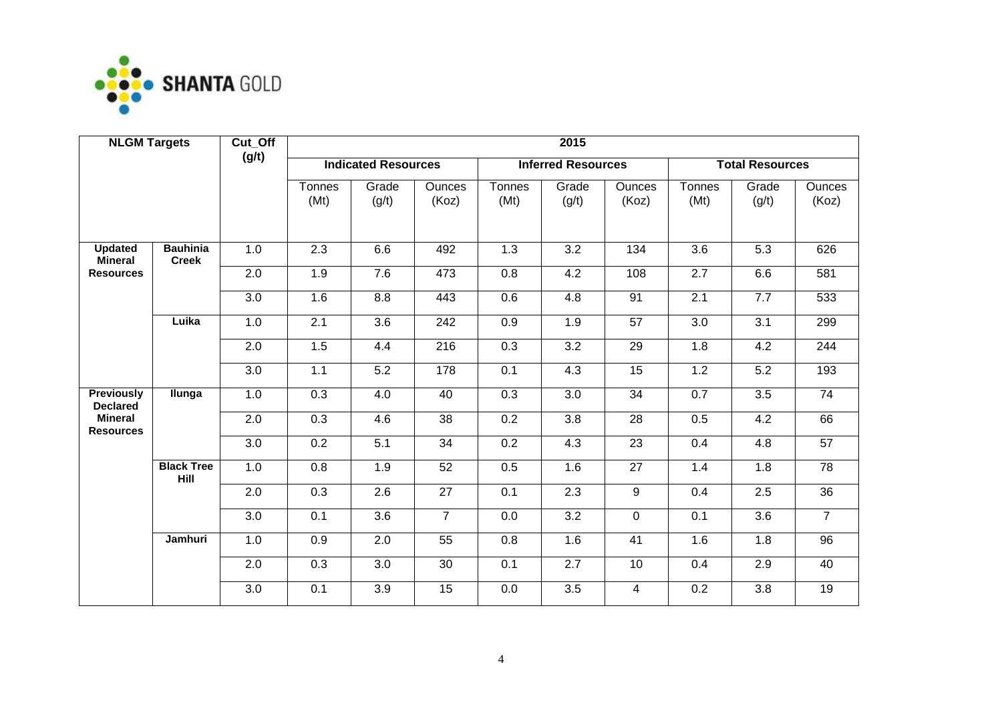

| <b>NLGM Targets</b>                  |                                 | Cut_Off          | 2015           |                            |                        |                |                           |                        |                |                        |                        |  |  |
|--------------------------------------|---------------------------------|------------------|----------------|----------------------------|------------------------|----------------|---------------------------|------------------------|----------------|------------------------|------------------------|--|--|
|                                      |                                 | (g/t)            |                | <b>Indicated Resources</b> |                        |                | <b>Inferred Resources</b> |                        |                | <b>Total Resources</b> |                        |  |  |
|                                      |                                 |                  | Tonnes<br>(Mt) | Grade<br>(g/t)             | <b>Ounces</b><br>(Koz) | Tonnes<br>(Mt) | Grade<br>(g/t)            | <b>Ounces</b><br>(Koz) | Tonnes<br>(Mt) | Grade<br>(g/t)         | <b>Ounces</b><br>(Koz) |  |  |
| <b>Updated</b><br><b>Mineral</b>     | <b>Bauhinia</b><br><b>Creek</b> | 1.0              | 2.3            | 6.6                        | 492                    | 1.3            | 3.2                       | 134                    | 3.6            | 5.3                    | 626                    |  |  |
| <b>Resources</b><br>Luika            | 2.0                             | 1.9              | 7.6            | 473                        | 0.8                    | 4.2            | 108                       | $\overline{2.7}$       | 6.6            | 581                    |                        |  |  |
|                                      |                                 | 3.0              | 1.6            | 8.8                        | 443                    | 0.6            | 4.8                       | 91                     | 2.1            | 7.7                    | 533                    |  |  |
|                                      |                                 | 1.0              | 2.1            | 3.6                        | 242                    | 0.9            | 1.9                       | 57                     | 3.0            | 3.1                    | 299                    |  |  |
|                                      |                                 | 2.0              | 1.5            | 4.4                        | 216                    | 0.3            | $\overline{3.2}$          | 29                     | 1.8            | 4.2                    | 244                    |  |  |
|                                      |                                 | 3.0              | 1.1            | 5.2                        | 178                    | 0.1            | 4.3                       | 15                     | 1.2            | 5.2                    | 193                    |  |  |
| <b>Previously</b><br><b>Declared</b> | Ilunga                          | 1.0              | 0.3            | 4.0                        | 40                     | 0.3            | 3.0                       | 34                     | 0.7            | 3.5                    | 74                     |  |  |
| <b>Mineral</b><br><b>Resources</b>   |                                 | 2.0              | 0.3            | 4.6                        | 38                     | 0.2            | 3.8                       | 28                     | 0.5            | 4.2                    | 66                     |  |  |
|                                      |                                 | $\overline{3.0}$ | 0.2            | $\overline{5.1}$           | $\overline{34}$        | 0.2            | 4.3                       | $\overline{23}$        | 0.4            | 4.8                    | $\overline{57}$        |  |  |
|                                      | <b>Black Tree</b><br>Hill       | 1.0              | 0.8            | 1.9                        | 52                     | 0.5            | 1.6                       | 27                     | 1.4            | 1.8                    | 78                     |  |  |
|                                      |                                 | 2.0              | 0.3            | 2.6                        | 27                     | 0.1            | 2.3                       | 9                      | 0.4            | 2.5                    | 36                     |  |  |
|                                      |                                 | 3.0              | 0.1            | 3.6                        | $\overline{7}$         | 0.0            | $\overline{3.2}$          | $\mathbf 0$            | 0.1            | 3.6                    | $\overline{7}$         |  |  |
|                                      | Jamhuri                         | 1.0              | 0.9            | 2.0                        | 55                     | 0.8            | 1.6                       | 41                     | 1.6            | 1.8                    | 96                     |  |  |
|                                      |                                 | 2.0              | 0.3            | 3.0                        | 30                     | 0.1            | 2.7                       | 10                     | 0.4            | 2.9                    | 40                     |  |  |
|                                      |                                 | 3.0              | 0.1            | 3.9                        | 15                     | 0.0            | $\overline{3.5}$          | $\overline{4}$         | 0.2            | 3.8                    | 19                     |  |  |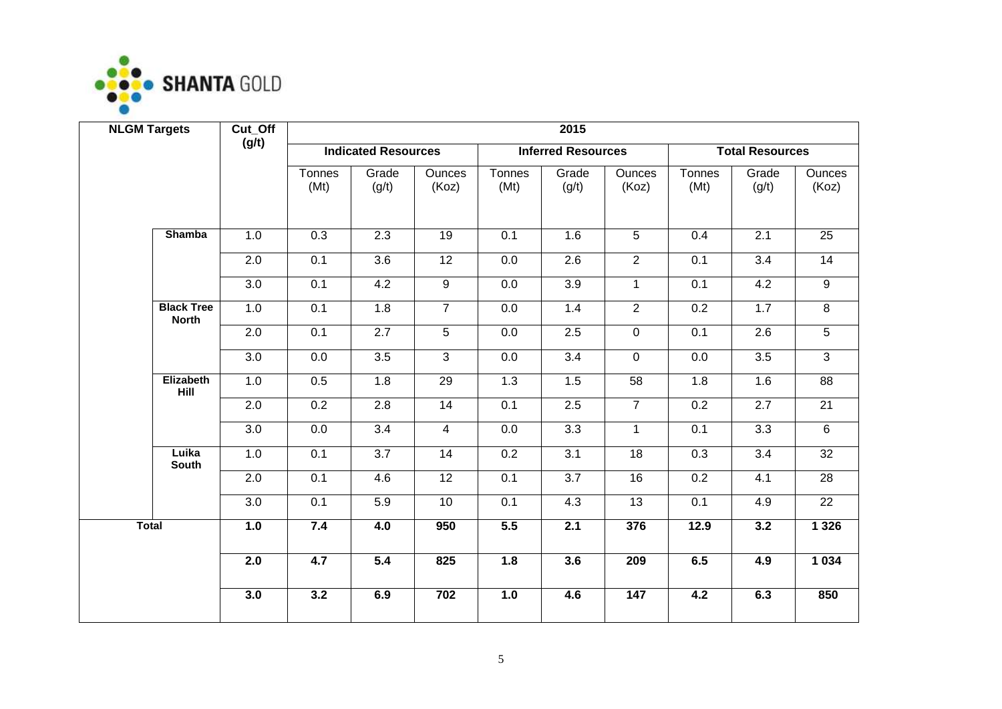

| <b>NLGM Targets</b> |                                   | Cut_Off | 2015             |                            |                        |                  |                           |                 |                  |                        |                        |
|---------------------|-----------------------------------|---------|------------------|----------------------------|------------------------|------------------|---------------------------|-----------------|------------------|------------------------|------------------------|
|                     |                                   | (g/t)   |                  | <b>Indicated Resources</b> |                        |                  | <b>Inferred Resources</b> |                 |                  | <b>Total Resources</b> |                        |
|                     |                                   |         | Tonnes<br>(Mt)   | Grade<br>(g/t)             | <b>Ounces</b><br>(Koz) | Tonnes<br>(Mt)   | Grade<br>(g/t)            | Ounces<br>(Koz) | Tonnes<br>(Mt)   | Grade<br>(g/t)         | <b>Ounces</b><br>(Koz) |
|                     | <b>Shamba</b>                     | 1.0     | $\overline{0.3}$ | $\overline{2.3}$           | 19                     | $\overline{0.1}$ | 1.6                       | $\overline{5}$  | 0.4              | 2.1                    | $\overline{25}$        |
|                     |                                   | 2.0     | 0.1              | 3.6                        | 12                     | 0.0              | $\overline{2.6}$          | $\overline{2}$  | 0.1              | $\overline{3.4}$       | $\overline{14}$        |
|                     |                                   | 3.0     | 0.1              | 4.2                        | 9                      | 0.0              | 3.9                       | $\mathbf{1}$    | 0.1              | 4.2                    | 9                      |
|                     | <b>Black Tree</b><br><b>North</b> | 1.0     | 0.1              | 1.8                        | $\overline{7}$         | 0.0              | 1.4                       | $\overline{2}$  | $\overline{0.2}$ | 1.7                    | $\overline{8}$         |
|                     |                                   | 2.0     | 0.1              | 2.7                        | $\overline{5}$         | 0.0              | 2.5                       | $\mathsf{O}$    | 0.1              | 2.6                    | $\overline{5}$         |
|                     |                                   | 3.0     | 0.0              | 3.5                        | $\overline{\omega}$    | 0.0              | 3.4                       | $\mathbf 0$     | 0.0              | 3.5                    | $\overline{3}$         |
|                     | Elizabeth<br>Hill                 | 1.0     | 0.5              | 1.8                        | $\overline{29}$        | 1.3              | 1.5                       | 58              | 1.8              | 1.6                    | $\overline{88}$        |
|                     |                                   | 2.0     | 0.2              | 2.8                        | 14                     | 0.1              | 2.5                       | $\overline{7}$  | 0.2              | 2.7                    | 21                     |
|                     |                                   | 3.0     | 0.0              | $\overline{3.4}$           | $\overline{4}$         | 0.0              | $\overline{3.3}$          | $\overline{1}$  | 0.1              | $\overline{3.3}$       | 6                      |
|                     | Luika<br><b>South</b>             | 1.0     | 0.1              | $\overline{3.7}$           | 14                     | 0.2              | $\overline{3.1}$          | $\overline{18}$ | 0.3              | $\overline{3.4}$       | 32                     |
|                     |                                   | 2.0     | 0.1              | 4.6                        | $\overline{12}$        | 0.1              | $\overline{3.7}$          | 16              | 0.2              | 4.1                    | $\overline{28}$        |
|                     |                                   | 3.0     | 0.1              | 5.9                        | 10                     | $\overline{0.1}$ | 4.3                       | $\overline{13}$ | 0.1              | 4.9                    | $\overline{22}$        |
| <b>Total</b>        |                                   | 1.0     | 7.4              | 4.0                        | 950                    | 5.5              | 2.1                       | 376             | 12.9             | 3.2                    | 1 3 2 6                |
|                     |                                   | 2.0     | 4.7              | 5.4                        | 825                    | 1.8              | 3.6                       | 209             | 6.5              | 4.9                    | 1 0 34                 |
|                     |                                   | 3.0     | 3.2              | 6.9                        | 702                    | 1.0              | 4.6                       | 147             | 4.2              | 6.3                    | 850                    |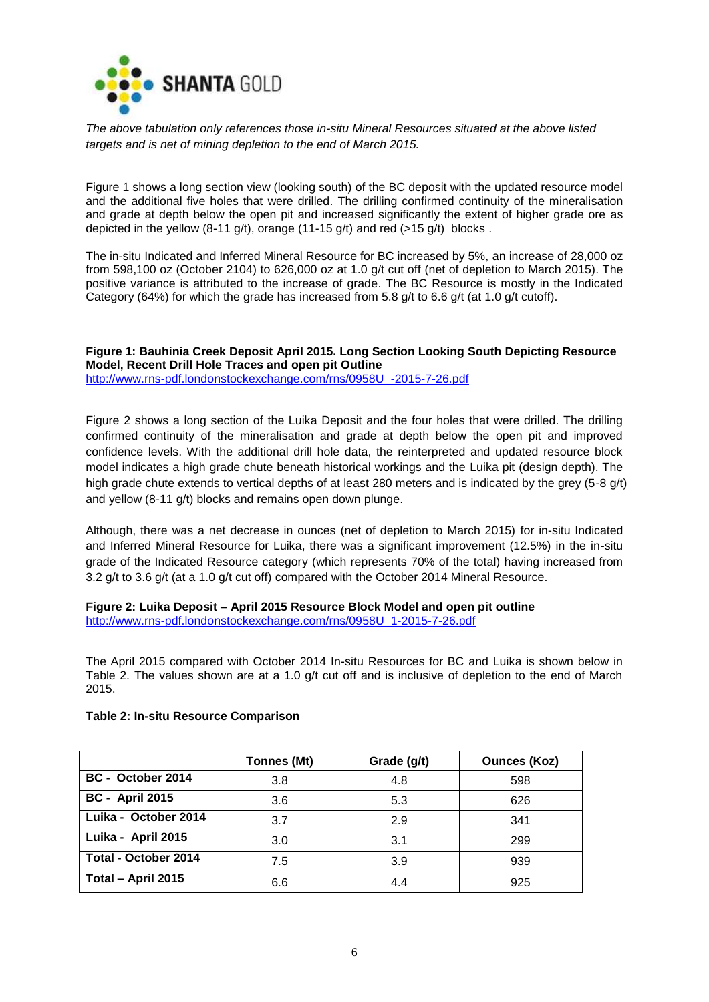

*The above tabulation only references those in-situ Mineral Resources situated at the above listed targets and is net of mining depletion to the end of March 2015.*

Figure 1 shows a long section view (looking south) of the BC deposit with the updated resource model and the additional five holes that were drilled. The drilling confirmed continuity of the mineralisation and grade at depth below the open pit and increased significantly the extent of higher grade ore as depicted in the yellow  $(8-11 \text{ g/t})$ , orange  $(11-15 \text{ g/t})$  and red  $(>15 \text{ g/t})$  blocks.

The in-situ Indicated and Inferred Mineral Resource for BC increased by 5%, an increase of 28,000 oz from 598,100 oz (October 2104) to 626,000 oz at 1.0 g/t cut off (net of depletion to March 2015). The positive variance is attributed to the increase of grade. The BC Resource is mostly in the Indicated Category (64%) for which the grade has increased from 5.8 g/t to 6.6 g/t (at 1.0 g/t cutoff).

**Figure 1: Bauhinia Creek Deposit April 2015. Long Section Looking South Depicting Resource Model, Recent Drill Hole Traces and open pit Outline** [http://www.rns-pdf.londonstockexchange.com/rns/0958U\\_-2015-7-26.pdf](http://www.rns-pdf.londonstockexchange.com/rns/0958U_-2015-7-26.pdf)

Figure 2 shows a long section of the Luika Deposit and the four holes that were drilled. The drilling confirmed continuity of the mineralisation and grade at depth below the open pit and improved confidence levels. With the additional drill hole data, the reinterpreted and updated resource block model indicates a high grade chute beneath historical workings and the Luika pit (design depth). The high grade chute extends to vertical depths of at least 280 meters and is indicated by the grey (5-8 g/t) and yellow (8-11 g/t) blocks and remains open down plunge.

Although, there was a net decrease in ounces (net of depletion to March 2015) for in-situ Indicated and Inferred Mineral Resource for Luika, there was a significant improvement (12.5%) in the in-situ grade of the Indicated Resource category (which represents 70% of the total) having increased from 3.2 g/t to 3.6 g/t (at a 1.0 g/t cut off) compared with the October 2014 Mineral Resource.

**Figure 2: Luika Deposit – April 2015 Resource Block Model and open pit outline** [http://www.rns-pdf.londonstockexchange.com/rns/0958U\\_1-2015-7-26.pdf](http://www.rns-pdf.londonstockexchange.com/rns/0958U_1-2015-7-26.pdf)

The April 2015 compared with October 2014 In-situ Resources for BC and Luika is shown below in Table 2. The values shown are at a 1.0 g/t cut off and is inclusive of depletion to the end of March 2015.

|                        | Tonnes (Mt) | Grade (g/t) | <b>Ounces (Koz)</b> |
|------------------------|-------------|-------------|---------------------|
| BC - October 2014      | 3.8         | 4.8         | 598                 |
| <b>BC - April 2015</b> | 3.6         | 5.3         | 626                 |
| Luika - October 2014   | 3.7         | 2.9         | 341                 |
| Luika - April 2015     | 3.0         | 3.1         | 299                 |
| Total - October 2014   | 7.5         | 3.9         | 939                 |
| Total - April 2015     | 6.6         | 4.4         | 925                 |

# **Table 2: In-situ Resource Comparison**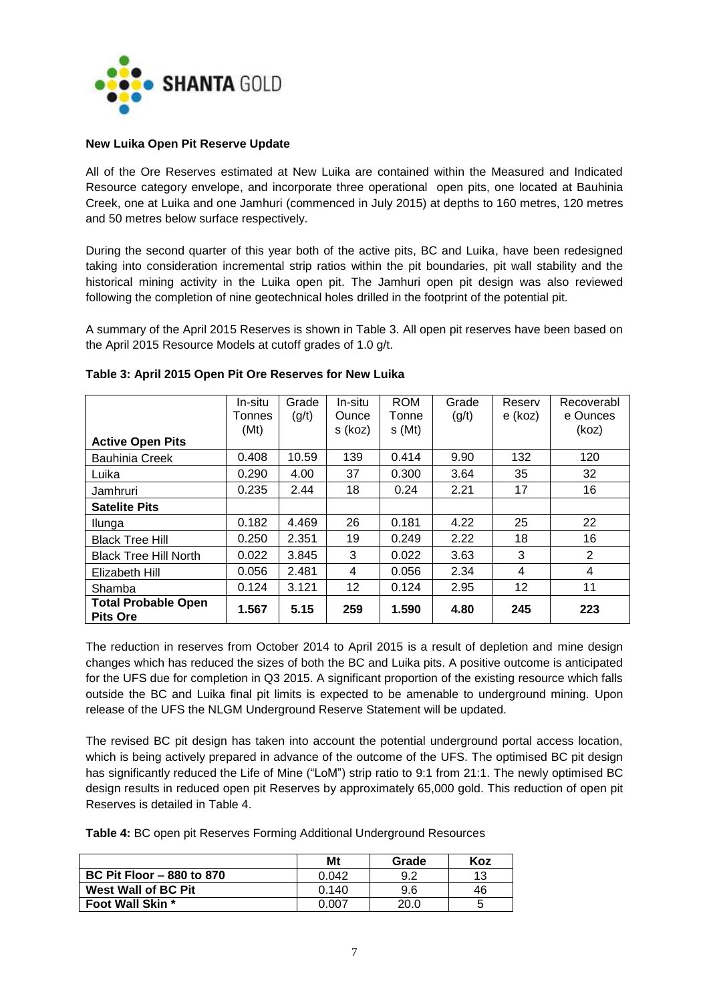

## **New Luika Open Pit Reserve Update**

All of the Ore Reserves estimated at New Luika are contained within the Measured and Indicated Resource category envelope, and incorporate three operational open pits, one located at Bauhinia Creek, one at Luika and one Jamhuri (commenced in July 2015) at depths to 160 metres, 120 metres and 50 metres below surface respectively.

During the second quarter of this year both of the active pits, BC and Luika, have been redesigned taking into consideration incremental strip ratios within the pit boundaries, pit wall stability and the historical mining activity in the Luika open pit. The Jamhuri open pit design was also reviewed following the completion of nine geotechnical holes drilled in the footprint of the potential pit.

A summary of the April 2015 Reserves is shown in Table 3. All open pit reserves have been based on the April 2015 Resource Models at cutoff grades of 1.0 g/t.

|                                               | In-situ<br>Tonnes<br>(Mt) | Grade<br>(g/t) | In-situ<br><b>Ounce</b><br>s (koz) | <b>ROM</b><br>Tonne<br>s(Mt) | Grade<br>(g/t) | Reserv<br>e (koz) | Recoverabl<br>e Ounces<br>(koz) |
|-----------------------------------------------|---------------------------|----------------|------------------------------------|------------------------------|----------------|-------------------|---------------------------------|
| <b>Active Open Pits</b>                       |                           |                |                                    |                              |                |                   |                                 |
| <b>Bauhinia Creek</b>                         | 0.408                     | 10.59          | 139                                | 0.414                        | 9.90           | 132               | 120                             |
| Luika                                         | 0.290                     | 4.00           | 37                                 | 0.300                        | 3.64           | 35                | 32                              |
| Jamhruri                                      | 0.235                     | 2.44           | 18                                 | 0.24                         | 2.21           | 17                | 16                              |
| <b>Satelite Pits</b>                          |                           |                |                                    |                              |                |                   |                                 |
| Ilunga                                        | 0.182                     | 4.469          | 26                                 | 0.181                        | 4.22           | 25                | 22                              |
| <b>Black Tree Hill</b>                        | 0.250                     | 2.351          | 19                                 | 0.249                        | 2.22           | 18                | 16                              |
| <b>Black Tree Hill North</b>                  | 0.022                     | 3.845          | 3                                  | 0.022                        | 3.63           | 3                 | 2                               |
| Elizabeth Hill                                | 0.056                     | 2.481          | 4                                  | 0.056                        | 2.34           | 4                 | 4                               |
| Shamba                                        | 0.124                     | 3.121          | 12                                 | 0.124                        | 2.95           | 12                | 11                              |
| <b>Total Probable Open</b><br><b>Pits Ore</b> | 1.567                     | 5.15           | 259                                | 1.590                        | 4.80           | 245               | 223                             |

## **Table 3: April 2015 Open Pit Ore Reserves for New Luika**

The reduction in reserves from October 2014 to April 2015 is a result of depletion and mine design changes which has reduced the sizes of both the BC and Luika pits. A positive outcome is anticipated for the UFS due for completion in Q3 2015. A significant proportion of the existing resource which falls outside the BC and Luika final pit limits is expected to be amenable to underground mining. Upon release of the UFS the NLGM Underground Reserve Statement will be updated.

The revised BC pit design has taken into account the potential underground portal access location, which is being actively prepared in advance of the outcome of the UFS. The optimised BC pit design has significantly reduced the Life of Mine ("LoM") strip ratio to 9:1 from 21:1. The newly optimised BC design results in reduced open pit Reserves by approximately 65,000 gold. This reduction of open pit Reserves is detailed in Table 4.

**Table 4:** BC open pit Reserves Forming Additional Underground Resources

|                                  | Mt    | Grade | Koz |
|----------------------------------|-------|-------|-----|
| <b>BC Pit Floor - 880 to 870</b> | 0.042 | 9.2   | 13  |
| West Wall of BC Pit              | 0.140 | 9.6   | 46  |
| <b>Foot Wall Skin *</b>          | 0.007 | 20.0  |     |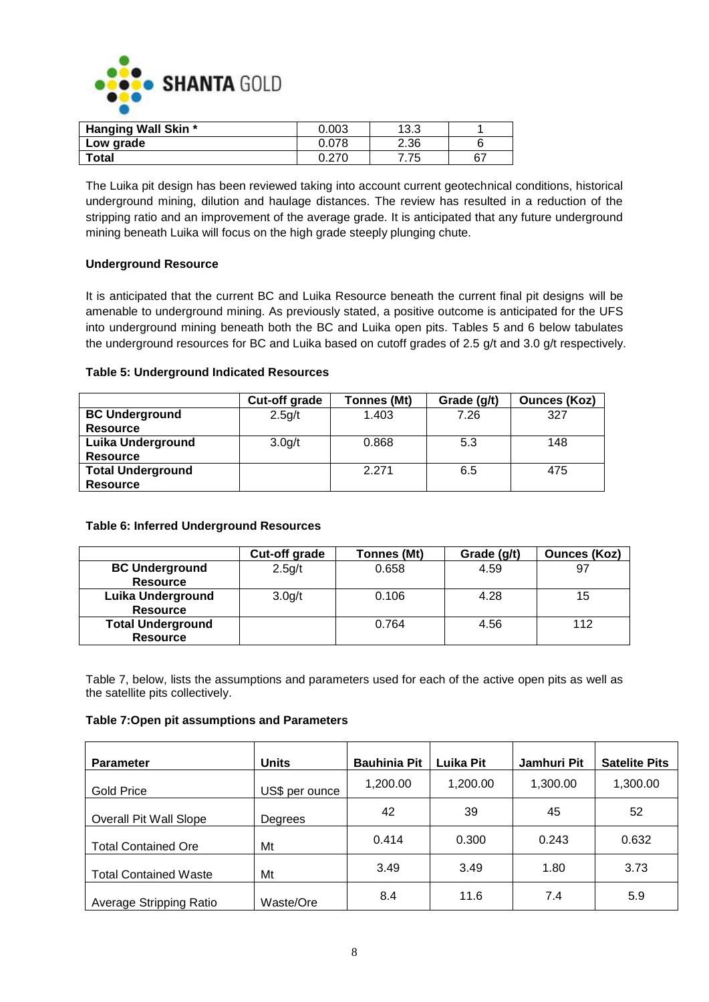

| <b>Hanging Wall Skin *</b> | 0.003 | 13.3      |    |
|----------------------------|-------|-----------|----|
| Low grade                  | 0.078 | 2.36      |    |
| <b>Total</b>               | 0.270 | 75<br>ن ، | 67 |

The Luika pit design has been reviewed taking into account current geotechnical conditions, historical underground mining, dilution and haulage distances. The review has resulted in a reduction of the stripping ratio and an improvement of the average grade. It is anticipated that any future underground mining beneath Luika will focus on the high grade steeply plunging chute.

# **Underground Resource**

It is anticipated that the current BC and Luika Resource beneath the current final pit designs will be amenable to underground mining. As previously stated, a positive outcome is anticipated for the UFS into underground mining beneath both the BC and Luika open pits. Tables 5 and 6 below tabulates the underground resources for BC and Luika based on cutoff grades of 2.5 g/t and 3.0 g/t respectively.

# **Table 5: Underground Indicated Resources**

|                          | Cut-off grade       | Tonnes (Mt) | Grade (g/t) | <b>Ounces (Koz)</b> |
|--------------------------|---------------------|-------------|-------------|---------------------|
| <b>BC Underground</b>    | 2.5 <sub>g</sub> /t | 1.403       | 7.26        | 327                 |
| <b>Resource</b>          |                     |             |             |                     |
| <b>Luika Underground</b> | 3.0 <sub>q/t</sub>  | 0.868       | 5.3         | 148                 |
| <b>Resource</b>          |                     |             |             |                     |
| <b>Total Underground</b> |                     | 2.271       | 6.5         | 475                 |
| <b>Resource</b>          |                     |             |             |                     |

# **Table 6: Inferred Underground Resources**

|                          | Cut-off grade       | Tonnes (Mt) | Grade (g/t) | <b>Ounces (Koz)</b> |
|--------------------------|---------------------|-------------|-------------|---------------------|
| <b>BC Underground</b>    | 2.5g/t              | 0.658       | 4.59        | 97                  |
| <b>Resource</b>          |                     |             |             |                     |
| <b>Luika Underground</b> | 3.0 <sub>g</sub> /t | 0.106       | 4.28        | 15                  |
| <b>Resource</b>          |                     |             |             |                     |
| <b>Total Underground</b> |                     | 0.764       | 4.56        | 112                 |
| <b>Resource</b>          |                     |             |             |                     |

Table 7, below, lists the assumptions and parameters used for each of the active open pits as well as the satellite pits collectively.

# **Table 7:Open pit assumptions and Parameters**

| <b>Parameter</b>              | <b>Units</b>   | <b>Bauhinia Pit</b> | <b>Luika Pit</b> | Jamhuri Pit | <b>Satelite Pits</b> |
|-------------------------------|----------------|---------------------|------------------|-------------|----------------------|
| <b>Gold Price</b>             | US\$ per ounce | 1,200.00            | 1,200.00         | 1,300.00    | 1,300.00             |
| <b>Overall Pit Wall Slope</b> | Degrees        | 42                  | 39               | 45          | 52                   |
| <b>Total Contained Ore</b>    | Mt             | 0.414               | 0.300            | 0.243       | 0.632                |
| <b>Total Contained Waste</b>  | Mt             | 3.49                | 3.49             | 1.80        | 3.73                 |
| Average Stripping Ratio       | Waste/Ore      | 8.4                 | 11.6             | 7.4         | 5.9                  |